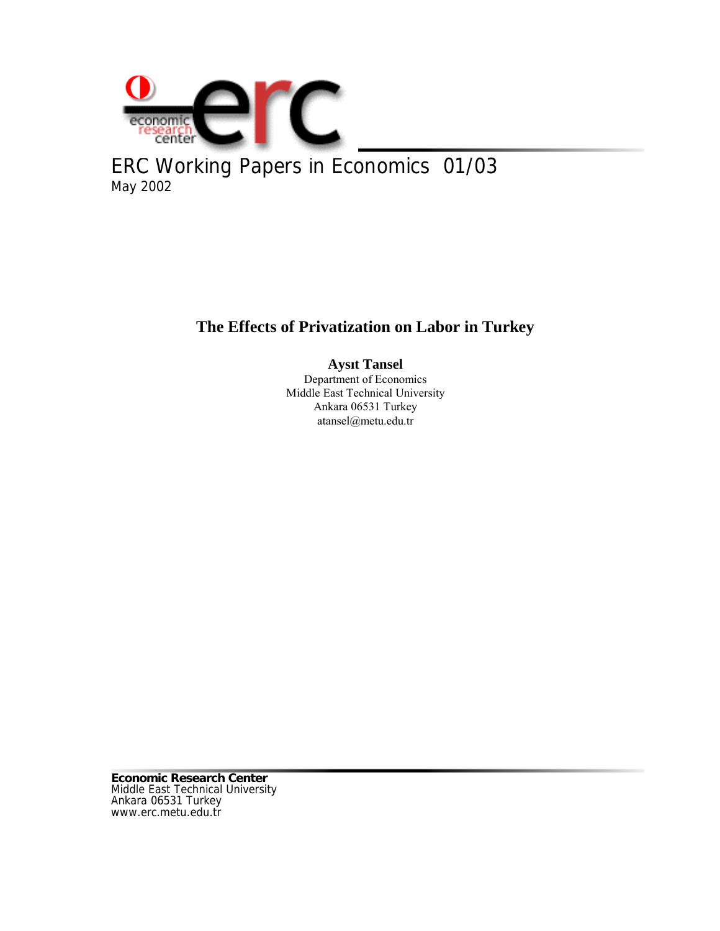

ERC Working Papers in Economics 01/03 May 2002

# **The Effects of Privatization on Labor in Turkey**

# **Aysıt Tansel**

Department of Economics Middle East Technical University Ankara 06531 Turkey atansel@metu.edu.tr

**Economic Research Center** Middle East Technical University Ankara 06531 Turkey www.erc.metu.edu.tr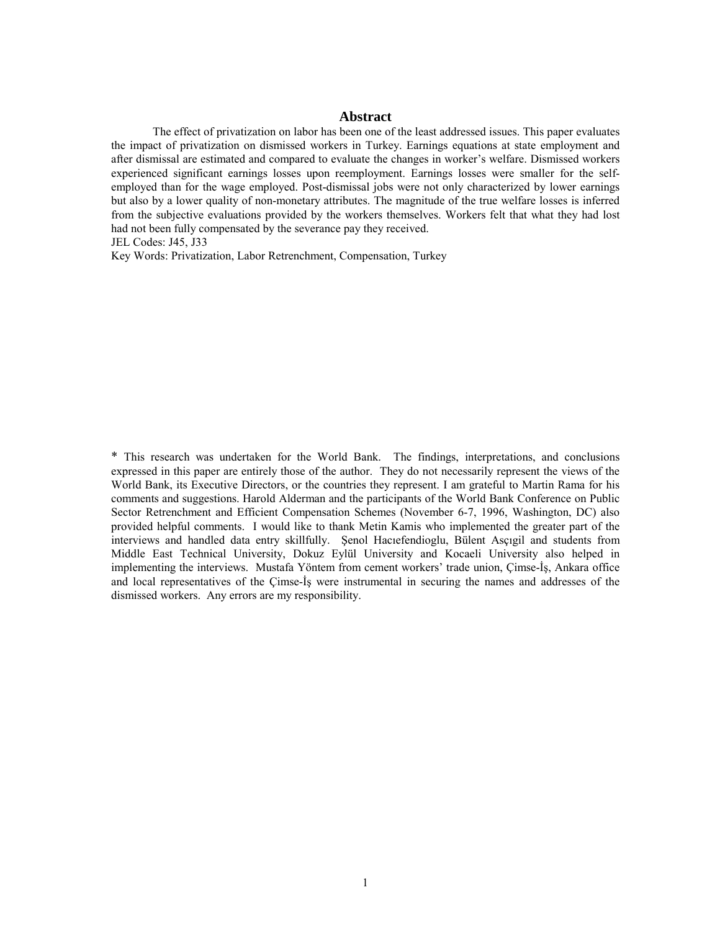#### **Abstract**

The effect of privatization on labor has been one of the least addressed issues. This paper evaluates the impact of privatization on dismissed workers in Turkey. Earnings equations at state employment and after dismissal are estimated and compared to evaluate the changes in worker's welfare. Dismissed workers experienced significant earnings losses upon reemployment. Earnings losses were smaller for the selfemployed than for the wage employed. Post-dismissal jobs were not only characterized by lower earnings but also by a lower quality of non-monetary attributes. The magnitude of the true welfare losses is inferred from the subjective evaluations provided by the workers themselves. Workers felt that what they had lost had not been fully compensated by the severance pay they received.

JEL Codes: J45, J33

Key Words: Privatization, Labor Retrenchment, Compensation, Turkey

\* This research was undertaken for the World Bank. The findings, interpretations, and conclusions expressed in this paper are entirely those of the author. They do not necessarily represent the views of the World Bank, its Executive Directors, or the countries they represent. I am grateful to Martin Rama for his comments and suggestions. Harold Alderman and the participants of the World Bank Conference on Public Sector Retrenchment and Efficient Compensation Schemes (November 6-7, 1996, Washington, DC) also provided helpful comments. I would like to thank Metin Kamis who implemented the greater part of the interviews and handled data entry skillfully. Şenol Hacıefendioglu, Bülent Asçıgil and students from Middle East Technical University, Dokuz Eylül University and Kocaeli University also helped in implementing the interviews. Mustafa Yöntem from cement workers' trade union, Çimse-İş, Ankara office and local representatives of the Çimse-İş were instrumental in securing the names and addresses of the dismissed workers. Any errors are my responsibility.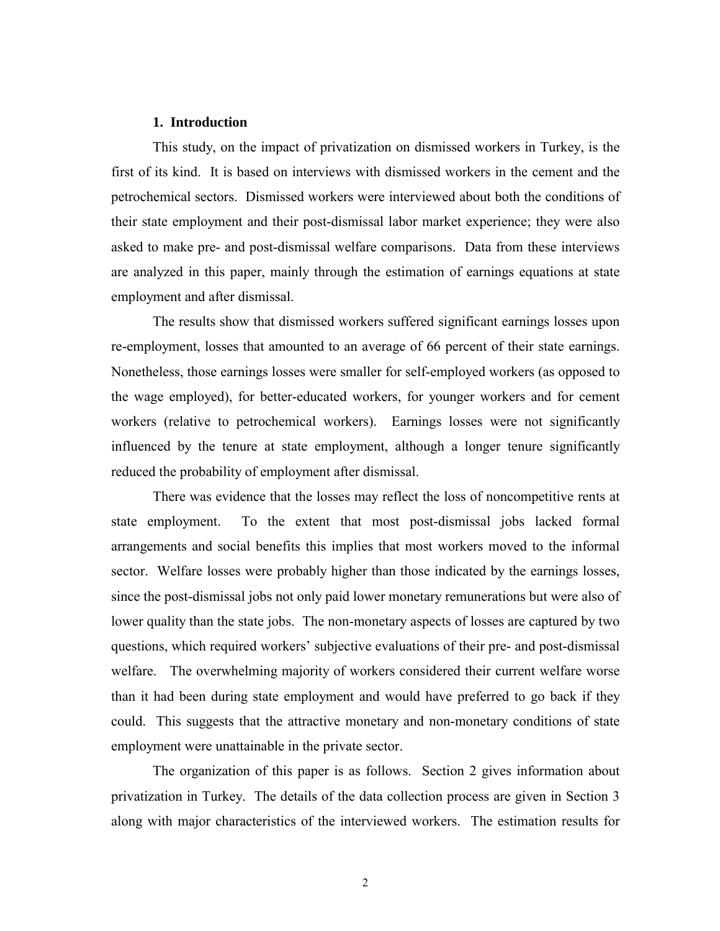## **1. Introduction**

This study, on the impact of privatization on dismissed workers in Turkey, is the first of its kind. It is based on interviews with dismissed workers in the cement and the petrochemical sectors. Dismissed workers were interviewed about both the conditions of their state employment and their post-dismissal labor market experience; they were also asked to make pre- and post-dismissal welfare comparisons. Data from these interviews are analyzed in this paper, mainly through the estimation of earnings equations at state employment and after dismissal.

The results show that dismissed workers suffered significant earnings losses upon re-employment, losses that amounted to an average of 66 percent of their state earnings. Nonetheless, those earnings losses were smaller for self-employed workers (as opposed to the wage employed), for better-educated workers, for younger workers and for cement workers (relative to petrochemical workers). Earnings losses were not significantly influenced by the tenure at state employment, although a longer tenure significantly reduced the probability of employment after dismissal.

There was evidence that the losses may reflect the loss of noncompetitive rents at state employment. To the extent that most post-dismissal jobs lacked formal arrangements and social benefits this implies that most workers moved to the informal sector. Welfare losses were probably higher than those indicated by the earnings losses, since the post-dismissal jobs not only paid lower monetary remunerations but were also of lower quality than the state jobs. The non-monetary aspects of losses are captured by two questions, which required workers' subjective evaluations of their pre- and post-dismissal welfare. The overwhelming majority of workers considered their current welfare worse than it had been during state employment and would have preferred to go back if they could. This suggests that the attractive monetary and non-monetary conditions of state employment were unattainable in the private sector.

The organization of this paper is as follows. Section 2 gives information about privatization in Turkey. The details of the data collection process are given in Section 3 along with major characteristics of the interviewed workers. The estimation results for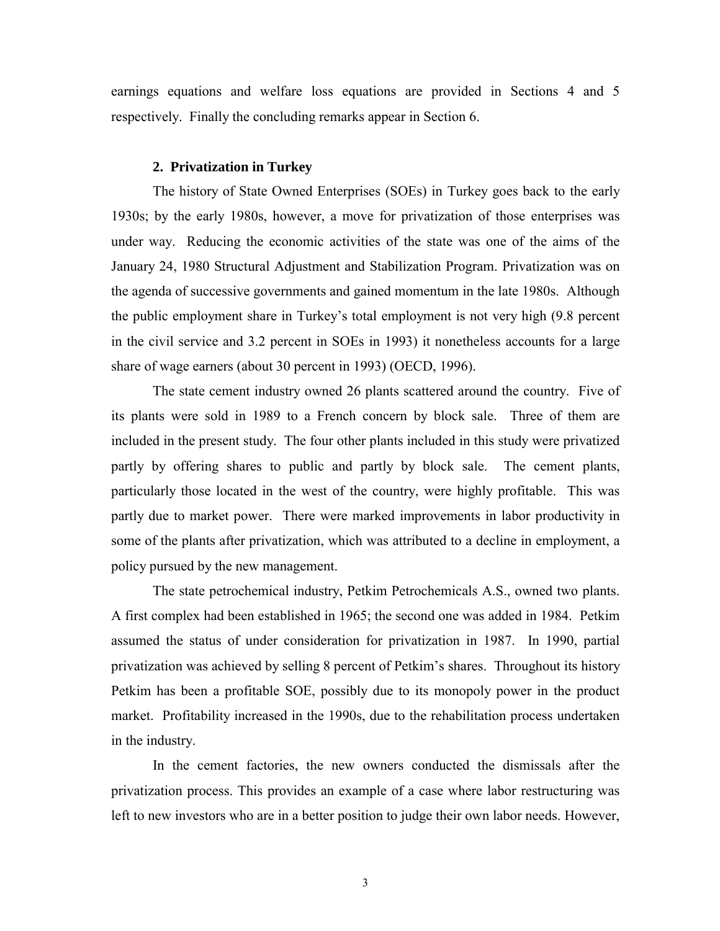earnings equations and welfare loss equations are provided in Sections 4 and 5 respectively. Finally the concluding remarks appear in Section 6.

### **2. Privatization in Turkey**

The history of State Owned Enterprises (SOEs) in Turkey goes back to the early 1930s; by the early 1980s, however, a move for privatization of those enterprises was under way. Reducing the economic activities of the state was one of the aims of the January 24, 1980 Structural Adjustment and Stabilization Program. Privatization was on the agenda of successive governments and gained momentum in the late 1980s. Although the public employment share in Turkey's total employment is not very high (9.8 percent in the civil service and 3.2 percent in SOEs in 1993) it nonetheless accounts for a large share of wage earners (about 30 percent in 1993) (OECD, 1996).

The state cement industry owned 26 plants scattered around the country. Five of its plants were sold in 1989 to a French concern by block sale. Three of them are included in the present study. The four other plants included in this study were privatized partly by offering shares to public and partly by block sale. The cement plants, particularly those located in the west of the country, were highly profitable. This was partly due to market power. There were marked improvements in labor productivity in some of the plants after privatization, which was attributed to a decline in employment, a policy pursued by the new management.

The state petrochemical industry, Petkim Petrochemicals A.S., owned two plants. A first complex had been established in 1965; the second one was added in 1984. Petkim assumed the status of under consideration for privatization in 1987. In 1990, partial privatization was achieved by selling 8 percent of Petkim's shares. Throughout its history Petkim has been a profitable SOE, possibly due to its monopoly power in the product market. Profitability increased in the 1990s, due to the rehabilitation process undertaken in the industry.

In the cement factories, the new owners conducted the dismissals after the privatization process. This provides an example of a case where labor restructuring was left to new investors who are in a better position to judge their own labor needs. However,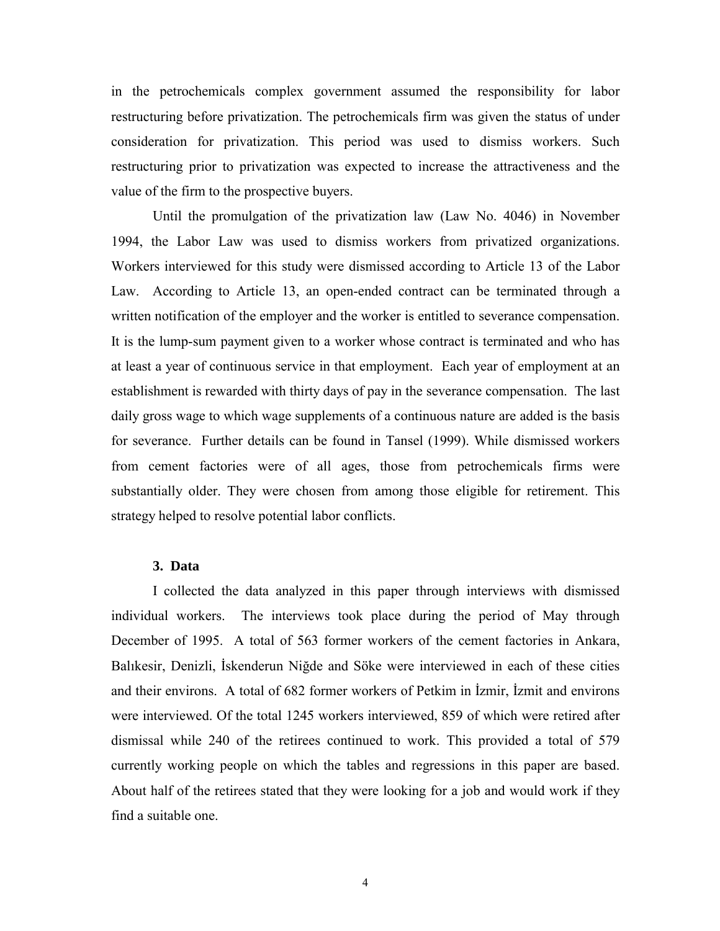in the petrochemicals complex government assumed the responsibility for labor restructuring before privatization. The petrochemicals firm was given the status of under consideration for privatization. This period was used to dismiss workers. Such restructuring prior to privatization was expected to increase the attractiveness and the value of the firm to the prospective buyers.

Until the promulgation of the privatization law (Law No. 4046) in November 1994, the Labor Law was used to dismiss workers from privatized organizations. Workers interviewed for this study were dismissed according to Article 13 of the Labor Law. According to Article 13, an open-ended contract can be terminated through a written notification of the employer and the worker is entitled to severance compensation. It is the lump-sum payment given to a worker whose contract is terminated and who has at least a year of continuous service in that employment. Each year of employment at an establishment is rewarded with thirty days of pay in the severance compensation. The last daily gross wage to which wage supplements of a continuous nature are added is the basis for severance. Further details can be found in Tansel (1999). While dismissed workers from cement factories were of all ages, those from petrochemicals firms were substantially older. They were chosen from among those eligible for retirement. This strategy helped to resolve potential labor conflicts.

## **3. Data**

I collected the data analyzed in this paper through interviews with dismissed individual workers. The interviews took place during the period of May through December of 1995. A total of 563 former workers of the cement factories in Ankara, Balıkesir, Denizli, İskenderun Niğde and Söke were interviewed in each of these cities and their environs. A total of 682 former workers of Petkim in İzmir, İzmit and environs were interviewed. Of the total 1245 workers interviewed, 859 of which were retired after dismissal while 240 of the retirees continued to work. This provided a total of 579 currently working people on which the tables and regressions in this paper are based. About half of the retirees stated that they were looking for a job and would work if they find a suitable one.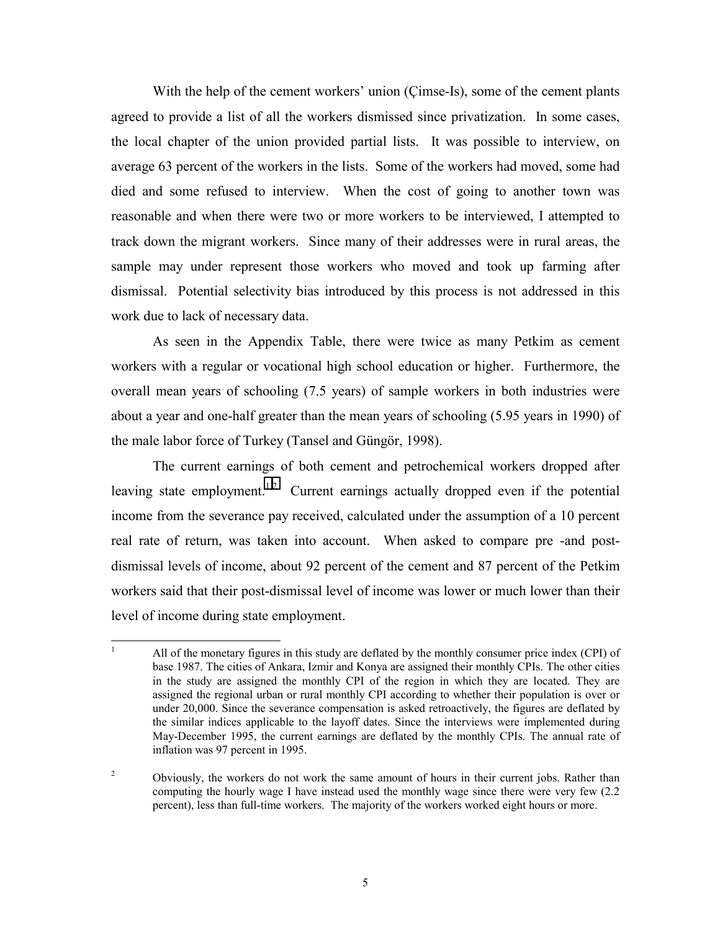With the help of the cement workers' union (Çimse-Is), some of the cement plants agreed to provide a list of all the workers dismissed since privatization. In some cases, the local chapter of the union provided partial lists. It was possible to interview, on average 63 percent of the workers in the lists. Some of the workers had moved, some had died and some refused to interview. When the cost of going to another town was reasonable and when there were two or more workers to be interviewed, I attempted to track down the migrant workers. Since many of their addresses were in rural areas, the sample may under represent those workers who moved and took up farming after dismissal. Potential selectivity bias introduced by this process is not addressed in this work due to lack of necessary data.

As seen in the Appendix Table, there were twice as many Petkim as cement workers with a regular or vocational high school education or higher. Furthermore, the overall mean years of schooling (7.5 years) of sample workers in both industries were about a year and one-half greater than the mean years of schooling (5.95 years in 1990) of the male labor force of Turkey (Tansel and Güngör, 1998).

The current earnings of both cement and petrochemical workers dropped after leaving state employment.<sup>1,2</sup> Current earnings actually dropped even if the potential income from the severance pay received, calculated under the assumption of a 10 percent real rate of return, was taken into account. When asked to compare pre -and postdismissal levels of income, about 92 percent of the cement and 87 percent of the Petkim workers said that their post-dismissal level of income was lower or much lower than their level of income during state employment.

 $\mathbf{1}$ <sup>1</sup> All of the monetary figures in this study are deflated by the monthly consumer price index (CPI) of base 1987. The cities of Ankara, Izmir and Konya are assigned their monthly CPIs. The other cities in the study are assigned the monthly CPI of the region in which they are located. They are assigned the regional urban or rural monthly CPI according to whether their population is over or under 20,000. Since the severance compensation is asked retroactively, the figures are deflated by the similar indices applicable to the layoff dates. Since the interviews were implemented during May-December 1995, the current earnings are deflated by the monthly CPIs. The annual rate of inflation was 97 percent in 1995.

<sup>2</sup> Obviously, the workers do not work the same amount of hours in their current jobs. Rather than computing the hourly wage I have instead used the monthly wage since there were very few (2.2 percent), less than full-time workers. The majority of the workers worked eight hours or more.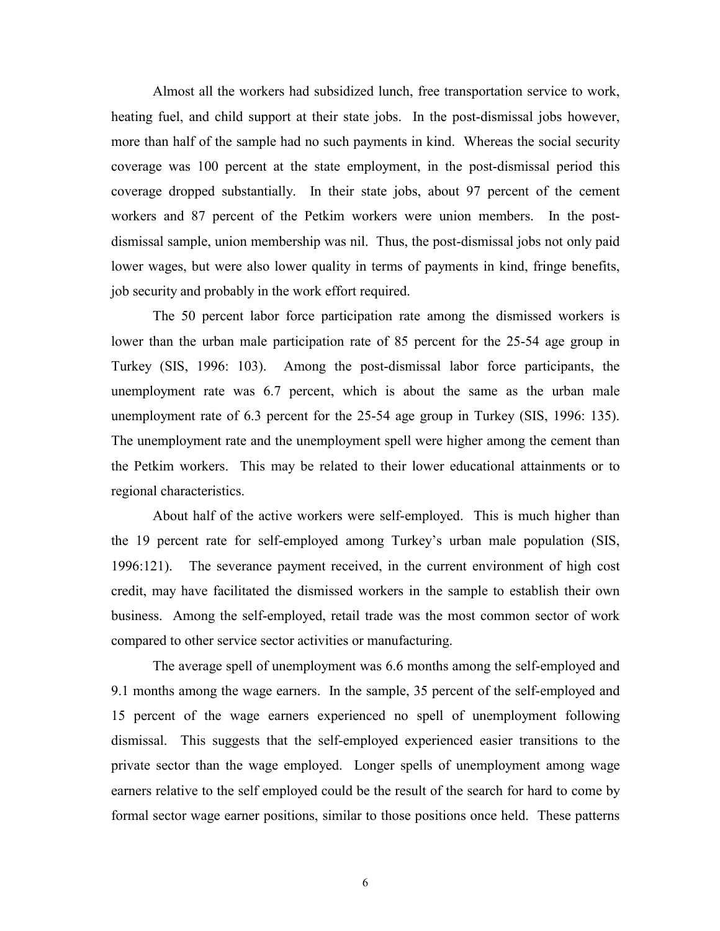Almost all the workers had subsidized lunch, free transportation service to work, heating fuel, and child support at their state jobs. In the post-dismissal jobs however, more than half of the sample had no such payments in kind. Whereas the social security coverage was 100 percent at the state employment, in the post-dismissal period this coverage dropped substantially. In their state jobs, about 97 percent of the cement workers and 87 percent of the Petkim workers were union members. In the postdismissal sample, union membership was nil. Thus, the post-dismissal jobs not only paid lower wages, but were also lower quality in terms of payments in kind, fringe benefits, job security and probably in the work effort required.

The 50 percent labor force participation rate among the dismissed workers is lower than the urban male participation rate of 85 percent for the 25-54 age group in Turkey (SIS, 1996: 103). Among the post-dismissal labor force participants, the unemployment rate was 6.7 percent, which is about the same as the urban male unemployment rate of 6.3 percent for the 25-54 age group in Turkey (SIS, 1996: 135). The unemployment rate and the unemployment spell were higher among the cement than the Petkim workers. This may be related to their lower educational attainments or to regional characteristics.

About half of the active workers were self-employed. This is much higher than the 19 percent rate for self-employed among Turkey's urban male population (SIS, 1996:121). The severance payment received, in the current environment of high cost credit, may have facilitated the dismissed workers in the sample to establish their own business. Among the self-employed, retail trade was the most common sector of work compared to other service sector activities or manufacturing.

The average spell of unemployment was 6.6 months among the self-employed and 9.1 months among the wage earners. In the sample, 35 percent of the self-employed and 15 percent of the wage earners experienced no spell of unemployment following dismissal. This suggests that the self-employed experienced easier transitions to the private sector than the wage employed. Longer spells of unemployment among wage earners relative to the self employed could be the result of the search for hard to come by formal sector wage earner positions, similar to those positions once held. These patterns

6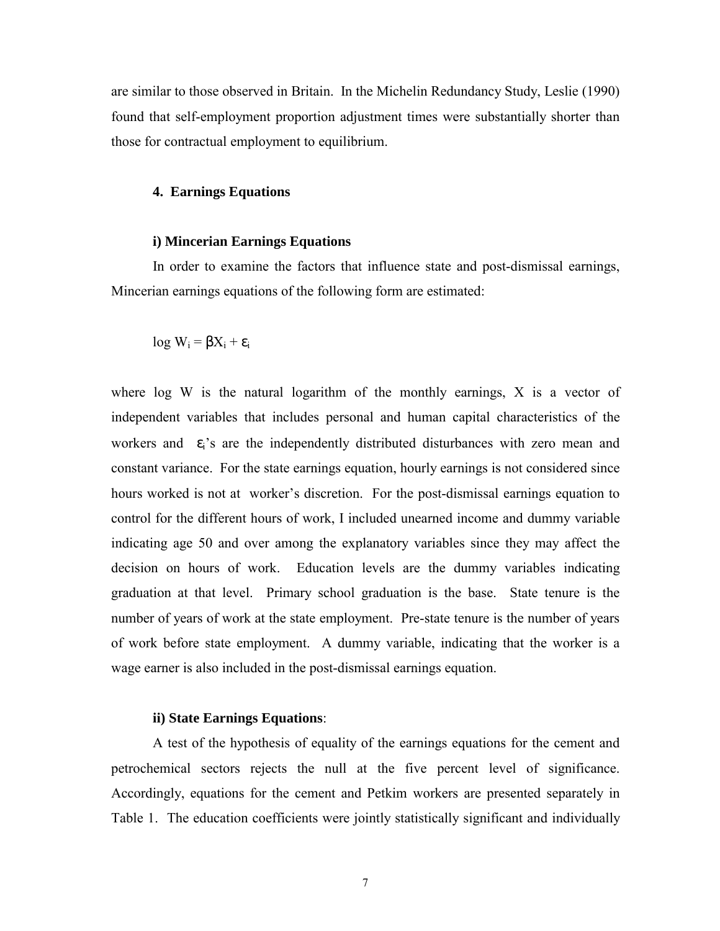are similar to those observed in Britain. In the Michelin Redundancy Study, Leslie (1990) found that self-employment proportion adjustment times were substantially shorter than those for contractual employment to equilibrium.

#### **4. Earnings Equations**

#### **i) Mincerian Earnings Equations**

In order to examine the factors that influence state and post-dismissal earnings, Mincerian earnings equations of the following form are estimated:

log  $W_i = \beta X_i + \varepsilon_i$ 

where log W is the natural logarithm of the monthly earnings, X is a vector of independent variables that includes personal and human capital characteristics of the workers and  $\varepsilon_i$ 's are the independently distributed disturbances with zero mean and constant variance. For the state earnings equation, hourly earnings is not considered since hours worked is not at worker's discretion. For the post-dismissal earnings equation to control for the different hours of work, I included unearned income and dummy variable indicating age 50 and over among the explanatory variables since they may affect the decision on hours of work. Education levels are the dummy variables indicating graduation at that level. Primary school graduation is the base. State tenure is the number of years of work at the state employment. Pre-state tenure is the number of years of work before state employment. A dummy variable, indicating that the worker is a wage earner is also included in the post-dismissal earnings equation.

# **ii) State Earnings Equations**:

A test of the hypothesis of equality of the earnings equations for the cement and petrochemical sectors rejects the null at the five percent level of significance. Accordingly, equations for the cement and Petkim workers are presented separately in Table 1. The education coefficients were jointly statistically significant and individually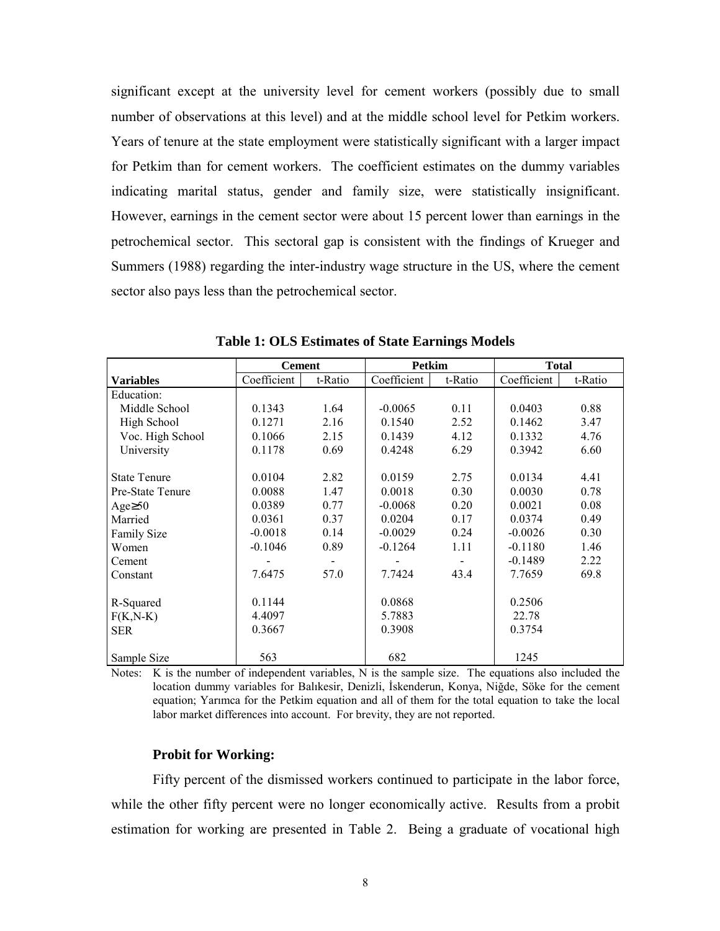significant except at the university level for cement workers (possibly due to small number of observations at this level) and at the middle school level for Petkim workers. Years of tenure at the state employment were statistically significant with a larger impact for Petkim than for cement workers. The coefficient estimates on the dummy variables indicating marital status, gender and family size, were statistically insignificant. However, earnings in the cement sector were about 15 percent lower than earnings in the petrochemical sector. This sectoral gap is consistent with the findings of Krueger and Summers (1988) regarding the inter-industry wage structure in the US, where the cement sector also pays less than the petrochemical sector.

|                     | <b>Cement</b> |         | <b>Petkim</b> |         | <b>Total</b> |         |
|---------------------|---------------|---------|---------------|---------|--------------|---------|
| <b>Variables</b>    | Coefficient   | t-Ratio | Coefficient   | t-Ratio | Coefficient  | t-Ratio |
| Education:          |               |         |               |         |              |         |
| Middle School       | 0.1343        | 1.64    | $-0.0065$     | 0.11    | 0.0403       | 0.88    |
| High School         | 0.1271        | 2.16    | 0.1540        | 2.52    | 0.1462       | 3.47    |
| Voc. High School    | 0.1066        | 2.15    | 0.1439        | 4.12    | 0.1332       | 4.76    |
| University          | 0.1178        | 0.69    | 0.4248        | 6.29    | 0.3942       | 6.60    |
|                     |               |         |               |         |              |         |
| <b>State Tenure</b> | 0.0104        | 2.82    | 0.0159        | 2.75    | 0.0134       | 4.41    |
| Pre-State Tenure    | 0.0088        | 1.47    | 0.0018        | 0.30    | 0.0030       | 0.78    |
| Age $\geq 50$       | 0.0389        | 0.77    | $-0.0068$     | 0.20    | 0.0021       | 0.08    |
| Married             | 0.0361        | 0.37    | 0.0204        | 0.17    | 0.0374       | 0.49    |
| <b>Family Size</b>  | $-0.0018$     | 0.14    | $-0.0029$     | 0.24    | $-0.0026$    | 0.30    |
| Women               | $-0.1046$     | 0.89    | $-0.1264$     | 1.11    | $-0.1180$    | 1.46    |
| Cement              |               |         |               |         | $-0.1489$    | 2.22    |
| Constant            | 7.6475        | 57.0    | 7.7424        | 43.4    | 7.7659       | 69.8    |
|                     |               |         |               |         |              |         |
| R-Squared           | 0.1144        |         | 0.0868        |         | 0.2506       |         |
| $F(K,N-K)$          | 4.4097        |         | 5.7883        |         | 22.78        |         |
| <b>SER</b>          | 0.3667        |         | 0.3908        |         | 0.3754       |         |
|                     |               |         |               |         |              |         |
| Sample Size         | 563           |         | 682           |         | 1245         |         |

**Table 1: OLS Estimates of State Earnings Models**

Notes: K is the number of independent variables, N is the sample size. The equations also included the location dummy variables for Balıkesir, Denizli, İskenderun, Konya, Niğde, Söke for the cement equation; Yarımca for the Petkim equation and all of them for the total equation to take the local labor market differences into account. For brevity, they are not reported.

#### **Probit for Working:**

Fifty percent of the dismissed workers continued to participate in the labor force, while the other fifty percent were no longer economically active. Results from a probit estimation for working are presented in Table 2. Being a graduate of vocational high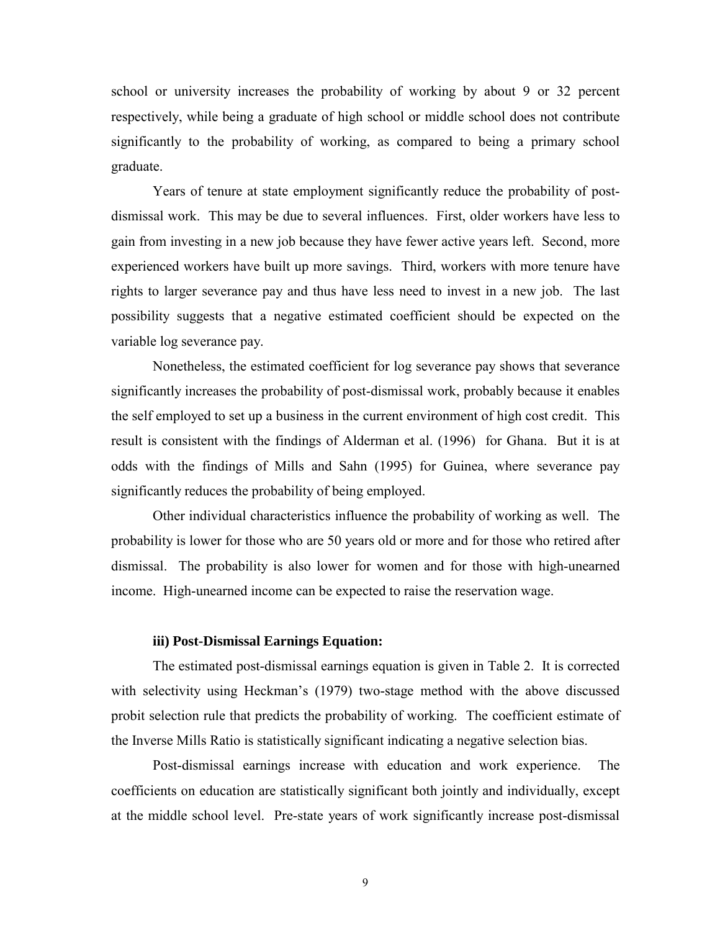school or university increases the probability of working by about 9 or 32 percent respectively, while being a graduate of high school or middle school does not contribute significantly to the probability of working, as compared to being a primary school graduate.

Years of tenure at state employment significantly reduce the probability of postdismissal work. This may be due to several influences. First, older workers have less to gain from investing in a new job because they have fewer active years left. Second, more experienced workers have built up more savings. Third, workers with more tenure have rights to larger severance pay and thus have less need to invest in a new job. The last possibility suggests that a negative estimated coefficient should be expected on the variable log severance pay.

Nonetheless, the estimated coefficient for log severance pay shows that severance significantly increases the probability of post-dismissal work, probably because it enables the self employed to set up a business in the current environment of high cost credit. This result is consistent with the findings of Alderman et al. (1996) for Ghana. But it is at odds with the findings of Mills and Sahn (1995) for Guinea, where severance pay significantly reduces the probability of being employed.

Other individual characteristics influence the probability of working as well. The probability is lower for those who are 50 years old or more and for those who retired after dismissal. The probability is also lower for women and for those with high-unearned income. High-unearned income can be expected to raise the reservation wage.

## **iii) Post-Dismissal Earnings Equation:**

The estimated post-dismissal earnings equation is given in Table 2. It is corrected with selectivity using Heckman's (1979) two-stage method with the above discussed probit selection rule that predicts the probability of working. The coefficient estimate of the Inverse Mills Ratio is statistically significant indicating a negative selection bias.

Post-dismissal earnings increase with education and work experience. The coefficients on education are statistically significant both jointly and individually, except at the middle school level. Pre-state years of work significantly increase post-dismissal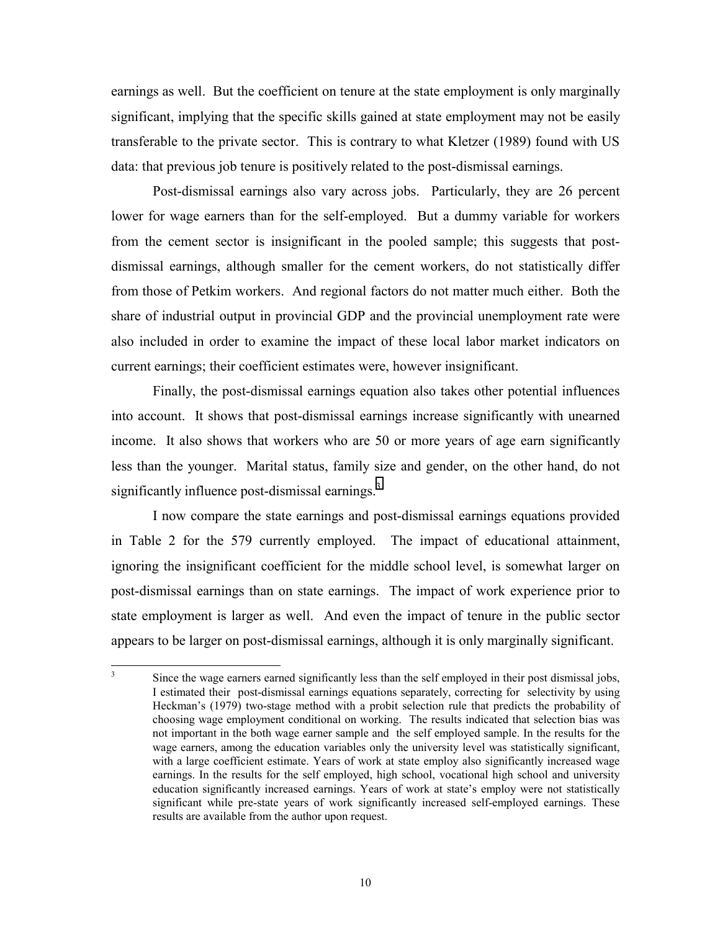earnings as well. But the coefficient on tenure at the state employment is only marginally significant, implying that the specific skills gained at state employment may not be easily transferable to the private sector. This is contrary to what Kletzer (1989) found with US data: that previous job tenure is positively related to the post-dismissal earnings.

Post-dismissal earnings also vary across jobs. Particularly, they are 26 percent lower for wage earners than for the self-employed. But a dummy variable for workers from the cement sector is insignificant in the pooled sample; this suggests that postdismissal earnings, although smaller for the cement workers, do not statistically differ from those of Petkim workers. And regional factors do not matter much either. Both the share of industrial output in provincial GDP and the provincial unemployment rate were also included in order to examine the impact of these local labor market indicators on current earnings; their coefficient estimates were, however insignificant.

Finally, the post-dismissal earnings equation also takes other potential influences into account. It shows that post-dismissal earnings increase significantly with unearned income. It also shows that workers who are 50 or more years of age earn significantly less than the younger. Marital status, family size and gender, on the other hand, do not significantly influence post-dismissal earnings.<sup>3</sup>

I now compare the state earnings and post-dismissal earnings equations provided in Table 2 for the 579 currently employed. The impact of educational attainment, ignoring the insignificant coefficient for the middle school level, is somewhat larger on post-dismissal earnings than on state earnings. The impact of work experience prior to state employment is larger as well. And even the impact of tenure in the public sector appears to be larger on post-dismissal earnings, although it is only marginally significant.

 3 Since the wage earners earned significantly less than the self employed in their post dismissal jobs, I estimated their post-dismissal earnings equations separately, correcting for selectivity by using Heckman's (1979) two-stage method with a probit selection rule that predicts the probability of choosing wage employment conditional on working. The results indicated that selection bias was not important in the both wage earner sample and the self employed sample. In the results for the wage earners, among the education variables only the university level was statistically significant, with a large coefficient estimate. Years of work at state employ also significantly increased wage earnings. In the results for the self employed, high school, vocational high school and university education significantly increased earnings. Years of work at state's employ were not statistically significant while pre-state years of work significantly increased self-employed earnings. These results are available from the author upon request.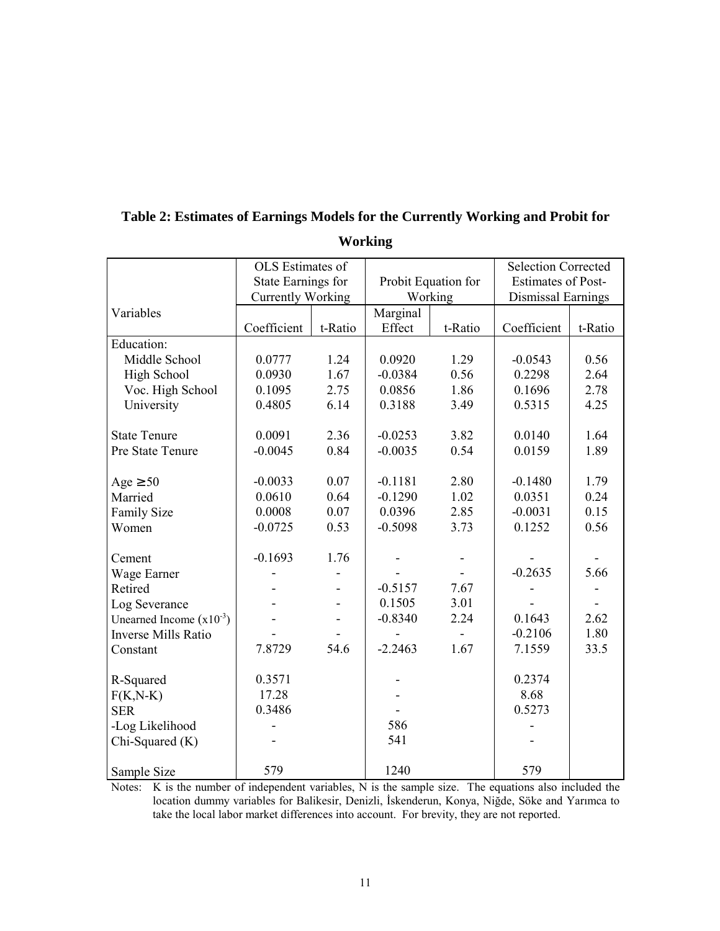|                              | OLS Estimates of          |         |                     |         | <b>Selection Corrected</b> |                          |
|------------------------------|---------------------------|---------|---------------------|---------|----------------------------|--------------------------|
|                              | <b>State Earnings for</b> |         | Probit Equation for |         | <b>Estimates of Post-</b>  |                          |
|                              | <b>Currently Working</b>  |         | Working             |         | Dismissal Earnings         |                          |
| Variables                    |                           |         | Marginal            |         |                            |                          |
|                              | Coefficient               | t-Ratio | Effect              | t-Ratio | Coefficient                | t-Ratio                  |
| Education:                   |                           |         |                     |         |                            |                          |
| Middle School                | 0.0777                    | 1.24    | 0.0920              | 1.29    | $-0.0543$                  | 0.56                     |
| High School                  | 0.0930                    | 1.67    | $-0.0384$           | 0.56    | 0.2298                     | 2.64                     |
| Voc. High School             | 0.1095                    | 2.75    | 0.0856              | 1.86    | 0.1696                     | 2.78                     |
| University                   | 0.4805                    | 6.14    | 0.3188              | 3.49    | 0.5315                     | 4.25                     |
|                              |                           |         |                     |         |                            |                          |
| <b>State Tenure</b>          | 0.0091                    | 2.36    | $-0.0253$           | 3.82    | 0.0140                     | 1.64                     |
| Pre State Tenure             | $-0.0045$                 | 0.84    | $-0.0035$           | 0.54    | 0.0159                     | 1.89                     |
|                              |                           |         |                     |         |                            |                          |
| Age $\geq 50$                | $-0.0033$                 | 0.07    | $-0.1181$           | 2.80    | $-0.1480$                  | 1.79                     |
| Married                      | 0.0610                    | 0.64    | $-0.1290$           | 1.02    | 0.0351                     | 0.24                     |
| <b>Family Size</b>           | 0.0008                    | 0.07    | 0.0396              | 2.85    | $-0.0031$                  | 0.15                     |
| Women                        | $-0.0725$                 | 0.53    | $-0.5098$           | 3.73    | 0.1252                     | 0.56                     |
|                              |                           |         |                     |         |                            |                          |
| Cement                       | $-0.1693$                 | 1.76    |                     |         |                            |                          |
| Wage Earner                  |                           |         |                     |         | $-0.2635$                  | 5.66                     |
| Retired                      |                           |         | $-0.5157$           | 7.67    |                            |                          |
| Log Severance                |                           |         | 0.1505              | 3.01    |                            | $\overline{\phantom{0}}$ |
| Unearned Income $(x10^{-3})$ |                           |         | $-0.8340$           | 2.24    | 0.1643                     | 2.62                     |
| <b>Inverse Mills Ratio</b>   |                           |         |                     |         | $-0.2106$                  | 1.80                     |
| Constant                     | 7.8729                    | 54.6    | $-2.2463$           | 1.67    | 7.1559                     | 33.5                     |
|                              |                           |         |                     |         |                            |                          |
| R-Squared                    | 0.3571                    |         |                     |         | 0.2374                     |                          |
| $F(K,N-K)$                   | 17.28                     |         |                     |         | 8.68                       |                          |
| <b>SER</b>                   | 0.3486                    |         |                     |         | 0.5273                     |                          |
| -Log Likelihood              |                           |         | 586                 |         |                            |                          |
| Chi-Squared (K)              |                           |         | 541                 |         |                            |                          |
|                              |                           |         |                     |         |                            |                          |
| Sample Size                  | 579                       |         | 1240                |         | 579                        |                          |

# **Table 2: Estimates of Earnings Models for the Currently Working and Probit for Working**

Notes: K is the number of independent variables, N is the sample size. The equations also included the location dummy variables for Balikesir, Denizli, İskenderun, Konya, Niğde, Söke and Yarımca to take the local labor market differences into account. For brevity, they are not reported.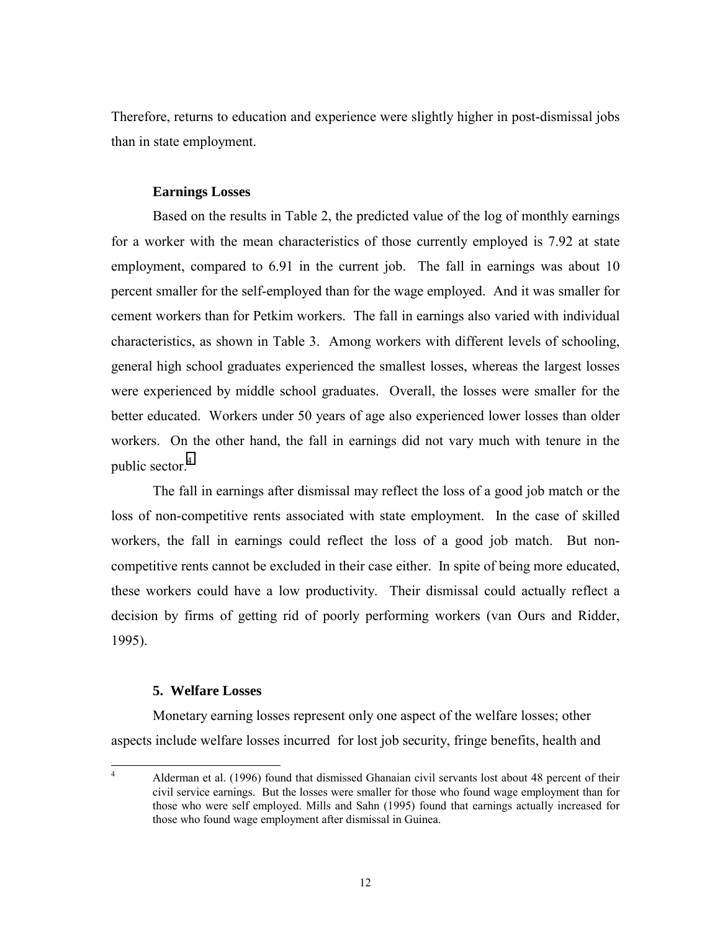Therefore, returns to education and experience were slightly higher in post-dismissal jobs than in state employment.

# **Earnings Losses**

Based on the results in Table 2, the predicted value of the log of monthly earnings for a worker with the mean characteristics of those currently employed is 7.92 at state employment, compared to 6.91 in the current job. The fall in earnings was about 10 percent smaller for the self-employed than for the wage employed. And it was smaller for cement workers than for Petkim workers. The fall in earnings also varied with individual characteristics, as shown in Table 3. Among workers with different levels of schooling, general high school graduates experienced the smallest losses, whereas the largest losses were experienced by middle school graduates. Overall, the losses were smaller for the better educated. Workers under 50 years of age also experienced lower losses than older workers. On the other hand, the fall in earnings did not vary much with tenure in the public sector.<sup>4</sup>

The fall in earnings after dismissal may reflect the loss of a good job match or the loss of non-competitive rents associated with state employment. In the case of skilled workers, the fall in earnings could reflect the loss of a good job match. But noncompetitive rents cannot be excluded in their case either. In spite of being more educated, these workers could have a low productivity. Their dismissal could actually reflect a decision by firms of getting rid of poorly performing workers (van Ours and Ridder, 1995).

# **5. Welfare Losses**

Monetary earning losses represent only one aspect of the welfare losses; other aspects include welfare losses incurred for lost job security, fringe benefits, health and

 $\frac{1}{4}$  Alderman et al. (1996) found that dismissed Ghanaian civil servants lost about 48 percent of their civil service earnings. But the losses were smaller for those who found wage employment than for those who were self employed. Mills and Sahn (1995) found that earnings actually increased for those who found wage employment after dismissal in Guinea.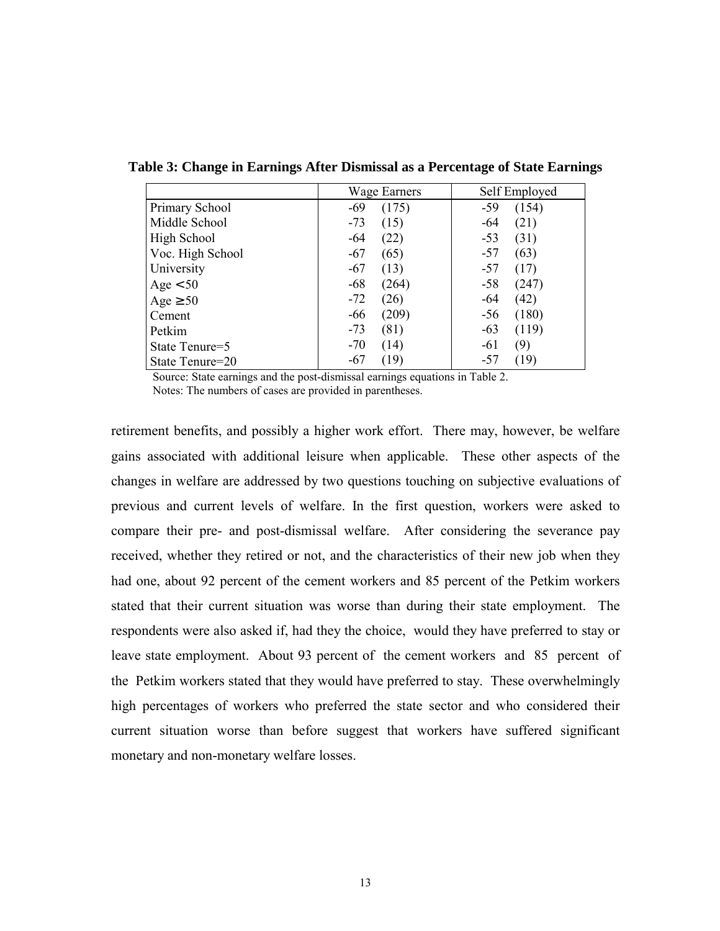|                  | Wage Earners   | Self Employed  |  |  |
|------------------|----------------|----------------|--|--|
| Primary School   | (175)<br>$-69$ | (154)<br>$-59$ |  |  |
| Middle School    | $-73$<br>(15)  | (21)<br>-64    |  |  |
| High School      | $-64$<br>(22)  | (31)<br>$-53$  |  |  |
| Voc. High School | $-67$<br>(65)  | (63)<br>$-57$  |  |  |
| University       | $-67$<br>(13)  | (17)<br>$-57$  |  |  |
| Age < 50         | $-68$<br>(264) | (247)<br>$-58$ |  |  |
| Age $\geq 50$    | $-72$<br>(26)  | (42)<br>-64    |  |  |
| Cement           | $-66$<br>(209) | (180)<br>$-56$ |  |  |
| Petkim           | $-73$<br>(81)  | $-63$<br>(119) |  |  |
| State Tenure=5   | $-70$<br>(14)  | (9)<br>$-61$   |  |  |
| State Tenure=20  | (19)<br>-67    | (19)<br>-57    |  |  |

**Table 3: Change in Earnings After Dismissal as a Percentage of State Earnings**

Source: State earnings and the post-dismissal earnings equations in Table 2. Notes: The numbers of cases are provided in parentheses.

retirement benefits, and possibly a higher work effort. There may, however, be welfare gains associated with additional leisure when applicable. These other aspects of the changes in welfare are addressed by two questions touching on subjective evaluations of previous and current levels of welfare. In the first question, workers were asked to compare their pre- and post-dismissal welfare. After considering the severance pay received, whether they retired or not, and the characteristics of their new job when they had one, about 92 percent of the cement workers and 85 percent of the Petkim workers stated that their current situation was worse than during their state employment. The respondents were also asked if, had they the choice, would they have preferred to stay or leave state employment. About 93 percent of the cement workers and 85 percent of the Petkim workers stated that they would have preferred to stay. These overwhelmingly high percentages of workers who preferred the state sector and who considered their current situation worse than before suggest that workers have suffered significant monetary and non-monetary welfare losses.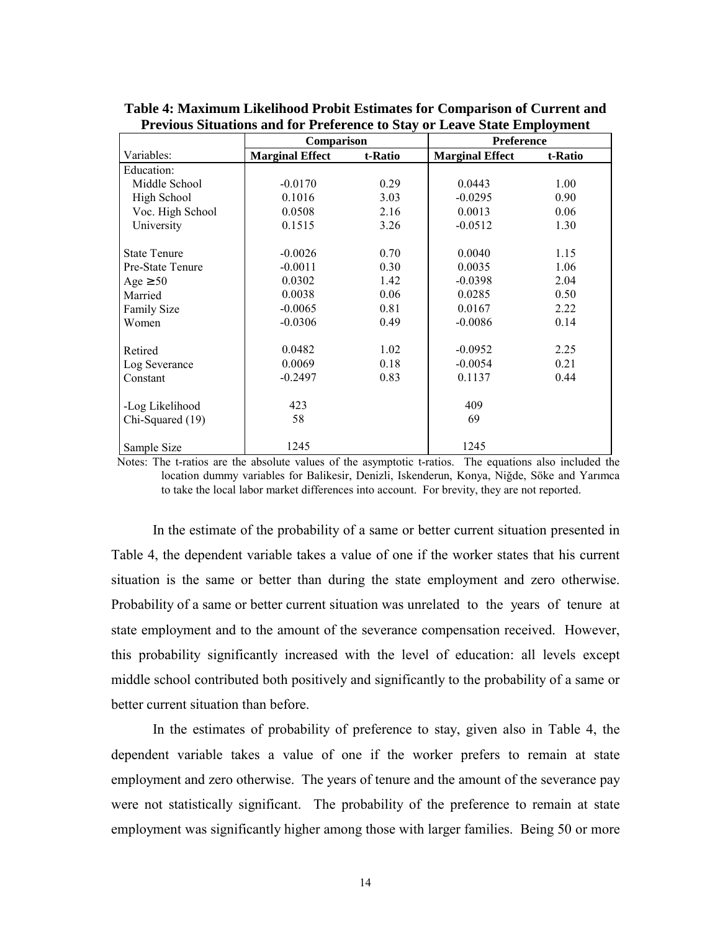|                     | Comparison             |         | Preference             |         |  |
|---------------------|------------------------|---------|------------------------|---------|--|
| Variables:          | <b>Marginal Effect</b> | t-Ratio | <b>Marginal Effect</b> | t-Ratio |  |
| Education:          |                        |         |                        |         |  |
| Middle School       | $-0.0170$              | 0.29    | 0.0443                 | 1.00    |  |
| High School         | 0.1016                 | 3.03    | $-0.0295$              | 0.90    |  |
| Voc. High School    | 0.0508                 | 2.16    | 0.0013                 | 0.06    |  |
| University          | 0.1515                 | 3.26    | $-0.0512$              | 1.30    |  |
| <b>State Tenure</b> | $-0.0026$              | 0.70    | 0.0040                 | 1.15    |  |
| Pre-State Tenure    | $-0.0011$              | 0.30    | 0.0035                 | 1.06    |  |
| Age $\geq 50$       | 0.0302                 | 1.42    | $-0.0398$              | 2.04    |  |
| Married             | 0.0038                 | 0.06    | 0.0285                 | 0.50    |  |
| <b>Family Size</b>  | $-0.0065$              | 0.81    | 0.0167                 | 2.22    |  |
| Women               | $-0.0306$              | 0.49    | $-0.0086$              | 0.14    |  |
| Retired             | 0.0482                 | 1.02    | $-0.0952$              | 2.25    |  |
| Log Severance       | 0.0069                 | 0.18    | $-0.0054$              | 0.21    |  |
| Constant            | $-0.2497$              | 0.83    | 0.1137                 | 0.44    |  |
| -Log Likelihood     | 423                    |         | 409                    |         |  |
| Chi-Squared (19)    | 58                     |         | 69                     |         |  |
| Sample Size         | 1245                   |         | 1245                   |         |  |

**Table 4: Maximum Likelihood Probit Estimates for Comparison of Current and Previous Situations and for Preference to Stay or Leave State Employment**

 Notes: The t-ratios are the absolute values of the asymptotic t-ratios. The equations also included the location dummy variables for Balikesir, Denizli, Iskenderun, Konya, Niğde, Söke and Yarımca to take the local labor market differences into account. For brevity, they are not reported.

In the estimate of the probability of a same or better current situation presented in Table 4, the dependent variable takes a value of one if the worker states that his current situation is the same or better than during the state employment and zero otherwise. Probability of a same or better current situation was unrelated to the years of tenure at state employment and to the amount of the severance compensation received. However, this probability significantly increased with the level of education: all levels except middle school contributed both positively and significantly to the probability of a same or better current situation than before.

In the estimates of probability of preference to stay, given also in Table 4, the dependent variable takes a value of one if the worker prefers to remain at state employment and zero otherwise. The years of tenure and the amount of the severance pay were not statistically significant. The probability of the preference to remain at state employment was significantly higher among those with larger families. Being 50 or more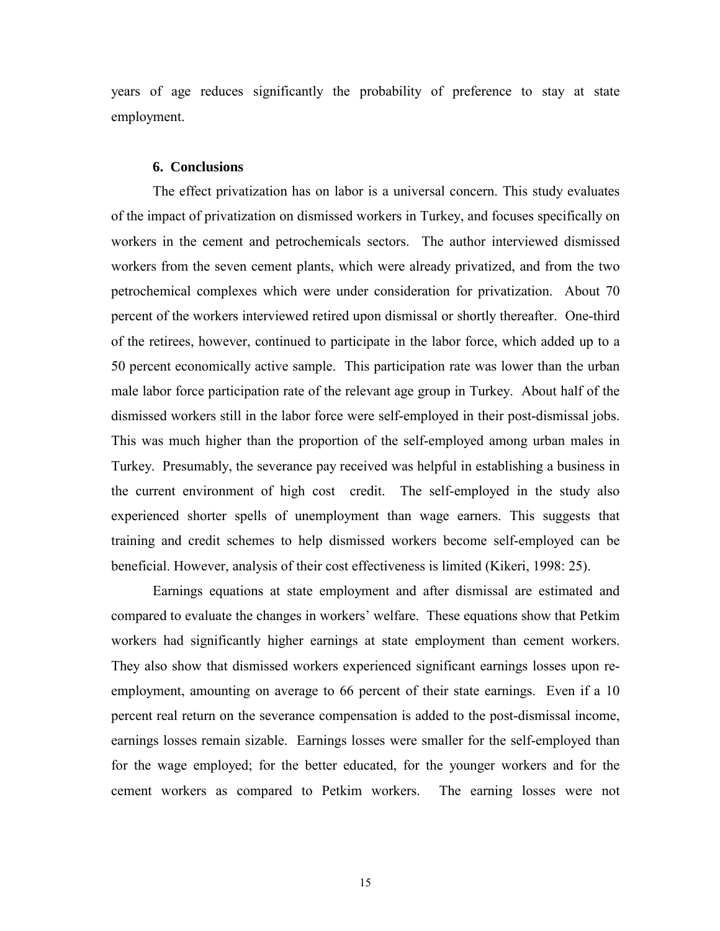years of age reduces significantly the probability of preference to stay at state employment.

### **6. Conclusions**

The effect privatization has on labor is a universal concern. This study evaluates of the impact of privatization on dismissed workers in Turkey, and focuses specifically on workers in the cement and petrochemicals sectors. The author interviewed dismissed workers from the seven cement plants, which were already privatized, and from the two petrochemical complexes which were under consideration for privatization. About 70 percent of the workers interviewed retired upon dismissal or shortly thereafter. One-third of the retirees, however, continued to participate in the labor force, which added up to a 50 percent economically active sample. This participation rate was lower than the urban male labor force participation rate of the relevant age group in Turkey. About half of the dismissed workers still in the labor force were self-employed in their post-dismissal jobs. This was much higher than the proportion of the self-employed among urban males in Turkey. Presumably, the severance pay received was helpful in establishing a business in the current environment of high cost credit. The self-employed in the study also experienced shorter spells of unemployment than wage earners. This suggests that training and credit schemes to help dismissed workers become self-employed can be beneficial. However, analysis of their cost effectiveness is limited (Kikeri, 1998: 25).

Earnings equations at state employment and after dismissal are estimated and compared to evaluate the changes in workers' welfare. These equations show that Petkim workers had significantly higher earnings at state employment than cement workers. They also show that dismissed workers experienced significant earnings losses upon reemployment, amounting on average to 66 percent of their state earnings. Even if a 10 percent real return on the severance compensation is added to the post-dismissal income, earnings losses remain sizable. Earnings losses were smaller for the self-employed than for the wage employed; for the better educated, for the younger workers and for the cement workers as compared to Petkim workers. The earning losses were not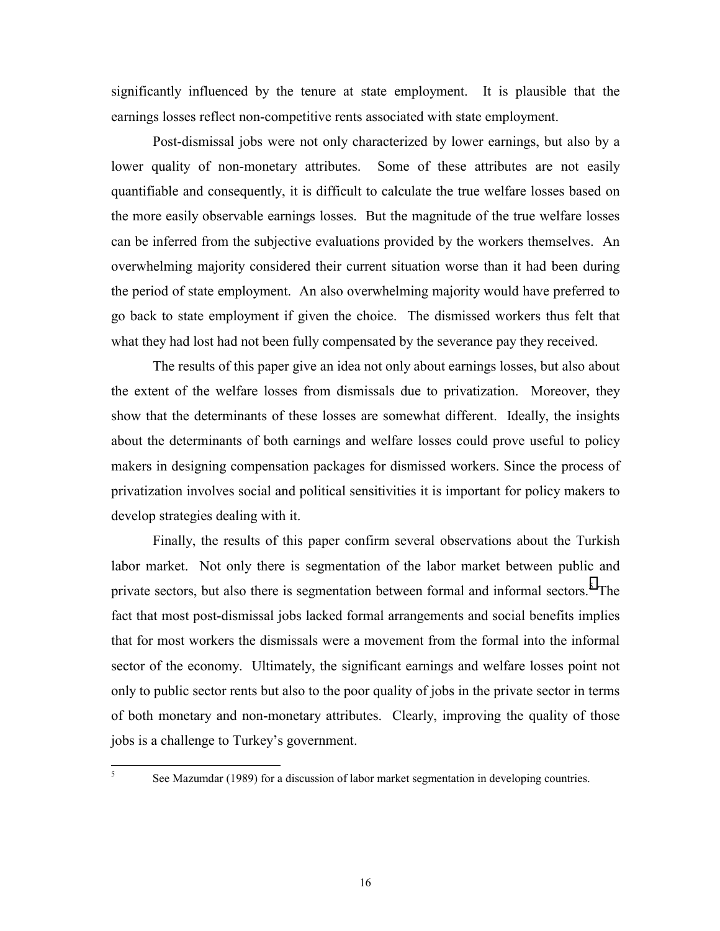significantly influenced by the tenure at state employment. It is plausible that the earnings losses reflect non-competitive rents associated with state employment.

Post-dismissal jobs were not only characterized by lower earnings, but also by a lower quality of non-monetary attributes. Some of these attributes are not easily quantifiable and consequently, it is difficult to calculate the true welfare losses based on the more easily observable earnings losses. But the magnitude of the true welfare losses can be inferred from the subjective evaluations provided by the workers themselves. An overwhelming majority considered their current situation worse than it had been during the period of state employment. An also overwhelming majority would have preferred to go back to state employment if given the choice. The dismissed workers thus felt that what they had lost had not been fully compensated by the severance pay they received.

The results of this paper give an idea not only about earnings losses, but also about the extent of the welfare losses from dismissals due to privatization. Moreover, they show that the determinants of these losses are somewhat different. Ideally, the insights about the determinants of both earnings and welfare losses could prove useful to policy makers in designing compensation packages for dismissed workers. Since the process of privatization involves social and political sensitivities it is important for policy makers to develop strategies dealing with it.

Finally, the results of this paper confirm several observations about the Turkish labor market. Not only there is segmentation of the labor market between public and private sectors, but also there is segmentation between formal and informal sectors.<sup>5</sup> The fact that most post-dismissal jobs lacked formal arrangements and social benefits implies that for most workers the dismissals were a movement from the formal into the informal sector of the economy. Ultimately, the significant earnings and welfare losses point not only to public sector rents but also to the poor quality of jobs in the private sector in terms of both monetary and non-monetary attributes. Clearly, improving the quality of those jobs is a challenge to Turkey's government.

5

See Mazumdar (1989) for a discussion of labor market segmentation in developing countries.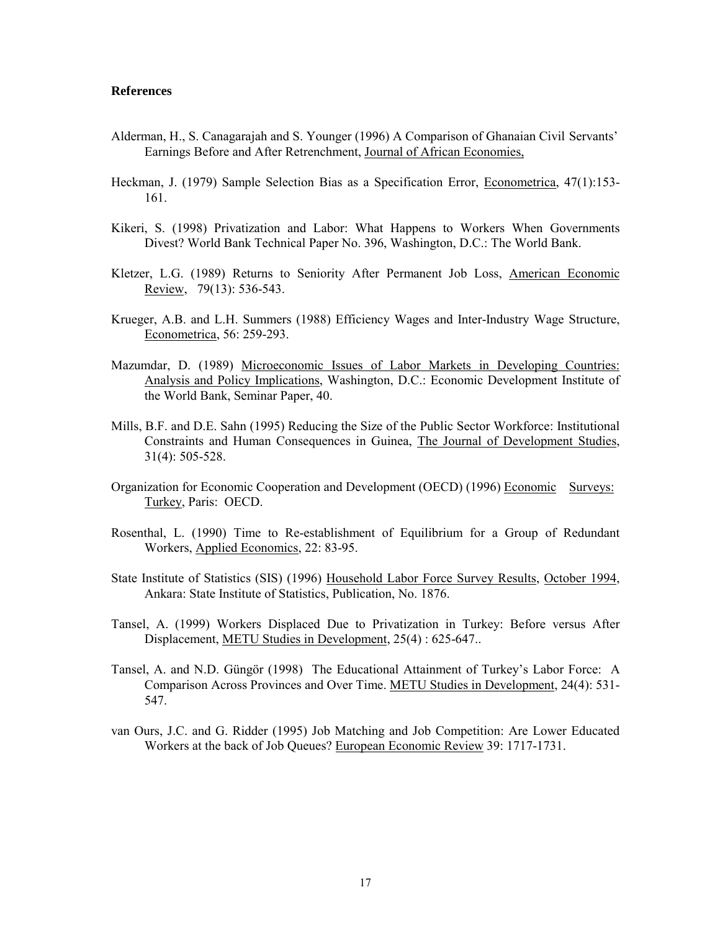## **References**

- Alderman, H., S. Canagarajah and S. Younger (1996) A Comparison of Ghanaian Civil Servants' Earnings Before and After Retrenchment, Journal of African Economies,
- Heckman, J. (1979) Sample Selection Bias as a Specification Error, Econometrica, 47(1):153- 161.
- Kikeri, S. (1998) Privatization and Labor: What Happens to Workers When Governments Divest? World Bank Technical Paper No. 396, Washington, D.C.: The World Bank.
- Kletzer, L.G. (1989) Returns to Seniority After Permanent Job Loss, American Economic Review, 79(13): 536-543.
- Krueger, A.B. and L.H. Summers (1988) Efficiency Wages and Inter-Industry Wage Structure, Econometrica, 56: 259-293.
- Mazumdar, D. (1989) Microeconomic Issues of Labor Markets in Developing Countries: Analysis and Policy Implications, Washington, D.C.: Economic Development Institute of the World Bank, Seminar Paper, 40.
- Mills, B.F. and D.E. Sahn (1995) Reducing the Size of the Public Sector Workforce: Institutional Constraints and Human Consequences in Guinea, The Journal of Development Studies, 31(4): 505-528.
- Organization for Economic Cooperation and Development (OECD) (1996) Economic Surveys: Turkey, Paris: OECD.
- Rosenthal, L. (1990) Time to Re-establishment of Equilibrium for a Group of Redundant Workers, Applied Economics, 22: 83-95.
- State Institute of Statistics (SIS) (1996) Household Labor Force Survey Results, October 1994, Ankara: State Institute of Statistics, Publication, No. 1876.
- Tansel, A. (1999) Workers Displaced Due to Privatization in Turkey: Before versus After Displacement, METU Studies in Development, 25(4) : 625-647..
- Tansel, A. and N.D. Güngör (1998) The Educational Attainment of Turkey's Labor Force: A Comparison Across Provinces and Over Time. METU Studies in Development, 24(4): 531- 547.
- van Ours, J.C. and G. Ridder (1995) Job Matching and Job Competition: Are Lower Educated Workers at the back of Job Queues? European Economic Review 39: 1717-1731.